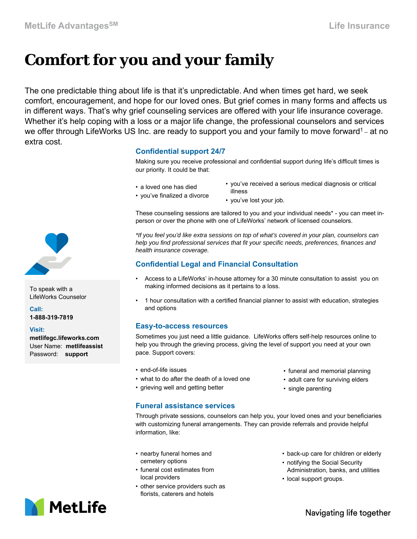# **Comfort for you and your family**

The one predictable thing about life is that it's unpredictable. And when times get hard, we seek comfort, encouragement, and hope for our loved ones. But grief comes in many forms and affects us in different ways. That's why grief counseling services are offered with your life insurance coverage. Whether it's help coping with a loss or a major life change, the professional counselors and services we offer through LifeWorks US Inc. are ready to support you and your family to move forward<sup>1</sup> – at no extra cost.

### **Confidential support 24/7**

Making sure you receive professional and confidential support during life's difficult times is our priority. It could be that:

- a loved one has died
- you've received a serious medical diagnosis or critical illness
- you've finalized a divorce
- you've lost your job.

These counseling sessions are tailored to you and your individual needs\* - you can meet inperson or over the phone with one of LifeWorks' network of licensed counselors.

*\*If you feel you'd like extra sessions on top of what's covered in your plan, counselors can help you find professional services that fit your specific needs, preferences, finances and health insurance coverage.*

## **Confidential Legal and Financial Consultation**

- Access to a LifeWorks' in-house attorney for a 30 minute consultation to assist you on making informed decisions as it pertains to a loss.
- 1 hour consultation with a certified financial planner to assist with education, strategies and options

#### **Easy-to-access resources**

Sometimes you just need a little guidance. LifeWorks offers self-help resources online to help you through the grieving process, giving the level of support you need at your own pace. Support covers:

- end-of-life issues
- what to do after the death of a loved one
- grieving well and getting better
- funeral and memorial planning
- adult care for surviving elders
- single parenting

**Funeral assistance services** 

Through private sessions, counselors can help you, your loved ones and your beneficiaries with customizing funeral arrangements. They can provide referrals and provide helpful information, like:

- nearby funeral homes and cemetery options
- funeral cost estimates from local providers
- other service providers such as florists, caterers and hotels
- back-up care for children or elderly
- notifying the Social Security Administration, banks, and utilities
- local support groups.



Password: **support**

To speak with a LifeWorks Counselor



Navigating life together